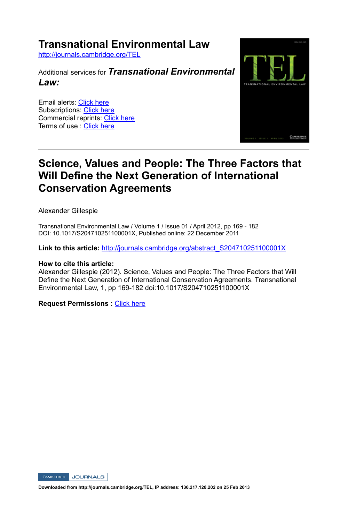## **Transnational Environmental Law**

http://journals.cambridge.org/TEL

Additional services for *Transnational Environmental Law:*

Email alerts: Click here Subscriptions: Click here Commercial reprints: Click here Terms of use : Click here



## **Science, Values and People: The Three Factors that Will Define the Next Generation of International Conservation Agreements**

Alexander Gillespie

Transnational Environmental Law / Volume 1 / Issue 01 / April 2012, pp 169 182 DOI: 10.1017/S204710251100001X, Published online: 22 December 2011

**Link to this article:** http://journals.cambridge.org/abstract\_S204710251100001X

#### **How to cite this article:**

Alexander Gillespie (2012). Science, Values and People: The Three Factors that Will Define the Next Generation of International Conservation Agreements. Transnational Environmental Law, 1, pp 169-182 doi:10.1017/S204710251100001X

**Request Permissions : Click here** 

CAMBRIDGE JOURNALS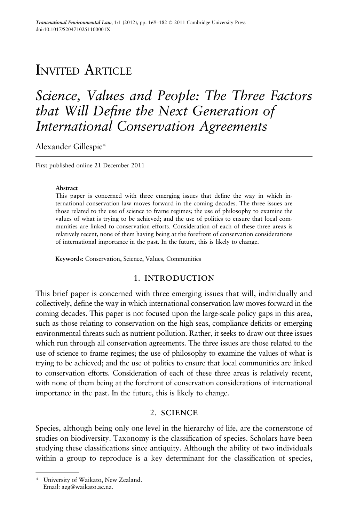# INVITED ARTICLE

# Science, Values and People: The Three Factors that Will Define the Next Generation of International Conservation Agreements

Alexander Gillespie\*

First published online 21 December 2011

#### Abstract

This paper is concerned with three emerging issues that define the way in which international conservation law moves forward in the coming decades. The three issues are those related to the use of science to frame regimes; the use of philosophy to examine the values of what is trying to be achieved; and the use of politics to ensure that local communities are linked to conservation efforts. Consideration of each of these three areas is relatively recent, none of them having being at the forefront of conservation considerations of international importance in the past. In the future, this is likely to change.

Keywords: Conservation, Science, Values, Communities

#### 1. introduction

This brief paper is concerned with three emerging issues that will, individually and collectively, define the way in which international conservation law moves forward in the coming decades. This paper is not focused upon the large-scale policy gaps in this area, such as those relating to conservation on the high seas, compliance deficits or emerging environmental threats such as nutrient pollution. Rather, it seeks to draw out three issues which run through all conservation agreements. The three issues are those related to the use of science to frame regimes; the use of philosophy to examine the values of what is trying to be achieved; and the use of politics to ensure that local communities are linked to conservation efforts. Consideration of each of these three areas is relatively recent, with none of them being at the forefront of conservation considerations of international importance in the past. In the future, this is likely to change.

#### 2. science

Species, although being only one level in the hierarchy of life, are the cornerstone of studies on biodiversity. Taxonomy is the classification of species. Scholars have been studying these classifications since antiquity. Although the ability of two individuals within a group to reproduce is a key determinant for the classification of species,

University of Waikato, New Zealand. Email: azg@waikato.ac.nz.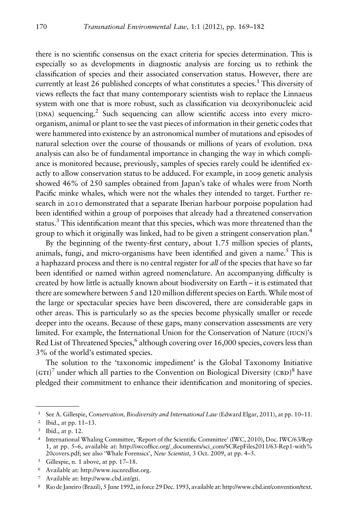there is no scientific consensus on the exact criteria for species determination. This is especially so as developments in diagnostic analysis are forcing us to rethink the classification of species and their associated conservation status. However, there are currently at least 26 published concepts of what constitutes a species.1 This diversity of views reflects the fact that many contemporary scientists wish to replace the Linnaeus system with one that is more robust, such as classification via deoxyribonucleic acid  $(DNA)$  sequencing.<sup>2</sup> Such sequencing can allow scientific access into every microorganism, animal or plant to see the vast pieces of information in their genetic codes that were hammered into existence by an astronomical number of mutations and episodes of natural selection over the course of thousands or millions of years of evolution. DNA analysis can also be of fundamental importance in changing the way in which compliance is monitored because, previously, samples of species rarely could be identified exactly to allow conservation status to be adduced. For example, in 2009 genetic analysis showed 46% of 250 samples obtained from Japan's take of whales were from North Pacific minke whales, which were not the whales they intended to target. Further research in 2010 demonstrated that a separate Iberian harbour porpoise population had been identified within a group of porpoises that already had a threatened conservation status.<sup>3</sup> This identification meant that this species, which was more threatened than the group to which it originally was linked, had to be given a stringent conservation plan.<sup>4</sup>

By the beginning of the twenty-first century, about 1.75 million species of plants, animals, fungi, and micro-organisms have been identified and given a name.<sup>5</sup> This is a haphazard process and there is no central register for all of the species that have so far been identified or named within agreed nomenclature. An accompanying difficulty is created by how little is actually known about biodiversity on Earth – it is estimated that there are somewhere between 5 and 120 million different species on Earth. While most of the large or spectacular species have been discovered, there are considerable gaps in other areas. This is particularly so as the species become physically smaller or recede deeper into the oceans. Because of these gaps, many conservation assessments are very limited. For example, the International Union for the Conservation of Nature (iucn)'s Red List of Threatened Species, <sup>6</sup> although covering over 16,000 species, covers less than 3% of the world's estimated species.

The solution to the 'taxonomic impediment' is the Global Taxonomy Initiative (GTI)<sup>7</sup> under which all parties to the Convention on Biological Diversity (CBD)<sup>8</sup> have pledged their commitment to enhance their identification and monitoring of species.

<sup>1</sup> See A. Gillespie, Conservation, Biodiversity and International Law (Edward Elgar, 2011), at pp. 10–11.

<sup>2</sup> Ibid., at pp. 11–13.

<sup>3</sup> Ibid., at p. 12.

<sup>4</sup> International Whaling Committee, 'Report of the Scientific Committee' (IWC, 2010), Doc. IWC/63/Rep 1, at pp. 5–6, available at: http://iwcoffice.org/\_documents/sci\_com/SCRepFiles2011/63-Rep1-with% 20covers.pdf; see also 'Whale Forensics', New Scientist, 3 Oct. 2009, at pp. 4–5.

<sup>5</sup> Gillespie, n. 1 above, at pp. 17–18.

<sup>6</sup> Available at: http://www.iucnredlist.org.

<sup>7</sup> Available at: http://www.cbd.int/gti.

<sup>8</sup> Rio de Janeiro (Brazil), 5 June 1992, in force 29 Dec. 1993, available at: http://www.cbd.int/convention/text.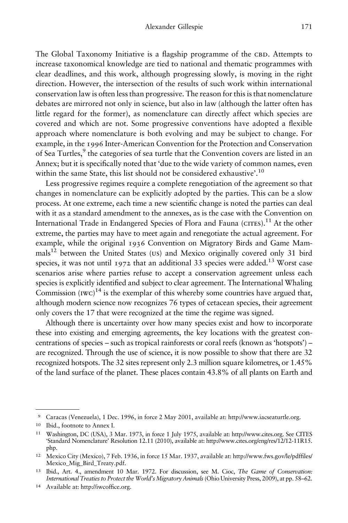The Global Taxonomy Initiative is a flagship programme of the CBD. Attempts to increase taxonomical knowledge are tied to national and thematic programmes with clear deadlines, and this work, although progressing slowly, is moving in the right direction. However, the intersection of the results of such work within international conservation law is often less than progressive. The reason for this is that nomenclature debates are mirrored not only in science, but also in law (although the latter often has little regard for the former), as nomenclature can directly affect which species are covered and which are not. Some progressive conventions have adopted a flexible approach where nomenclature is both evolving and may be subject to change. For example, in the 1996 Inter-American Convention for the Protection and Conservation of Sea Turtles,<sup>9</sup> the categories of sea turtle that the Convention covers are listed in an Annex; but it is specifically noted that 'due to the wide variety of common names, even within the same State, this list should not be considered exhaustive'.<sup>10</sup>

Less progressive regimes require a complete renegotiation of the agreement so that changes in nomenclature can be explicitly adopted by the parties. This can be a slow process. At one extreme, each time a new scientific change is noted the parties can deal with it as a standard amendment to the annexes, as is the case with the Convention on International Trade in Endangered Species of Flora and Fauna ( $CITES$ ).<sup>11</sup> At the other extreme, the parties may have to meet again and renegotiate the actual agreement. For example, while the original 1936 Convention on Migratory Birds and Game Mammals<sup>12</sup> between the United States (us) and Mexico originally covered only 31 bird species, it was not until 1972 that an additional 33 species were added.<sup>13</sup> Worst case scenarios arise where parties refuse to accept a conservation agreement unless each species is explicitly identified and subject to clear agreement. The International Whaling Commission  $(iwc)^{14}$  is the exemplar of this whereby some countries have argued that, although modern science now recognizes 76 types of cetacean species, their agreement only covers the 17 that were recognized at the time the regime was signed.

Although there is uncertainty over how many species exist and how to incorporate these into existing and emerging agreements, the key locations with the greatest concentrations of species – such as tropical rainforests or coral reefs (known as 'hotspots') – are recognized. Through the use of science, it is now possible to show that there are 32 recognized hotspots. The 32 sites represent only 2.3 million square kilometres, or 1.45% of the land surface of the planet. These places contain 43.8% of all plants on Earth and

<sup>9</sup> Caracas (Venezuela), 1 Dec. 1996, in force 2 May 2001, available at: http://www.iacseaturtle.org.

<sup>10</sup> Ibid., footnote to Annex I.

<sup>11</sup> Washington, DC (USA), 3 Mar. 1973, in force 1 July 1975, available at: http://www.cites.org. See CITES 'Standard Nomenclature' Resolution 12.11 (2010), available at: http://www.cites.org/eng/res/12/12-11R15. php.

<sup>12</sup> Mexico City (Mexico), 7 Feb. 1936, in force 15 Mar. 1937, available at: http://www.fws.gov/le/pdffiles/ Mexico\_Mig\_Bird\_Treaty.pdf.

<sup>13</sup> Ibid., Art. 4., amendment 10 Mar. 1972. For discussion, see M. Cioc, The Game of Conservation: International Treaties to Protect the World's Migratory Animals(Ohio University Press, 2009), at pp. 58–62.

<sup>14</sup> Available at: http://iwcoffice.org.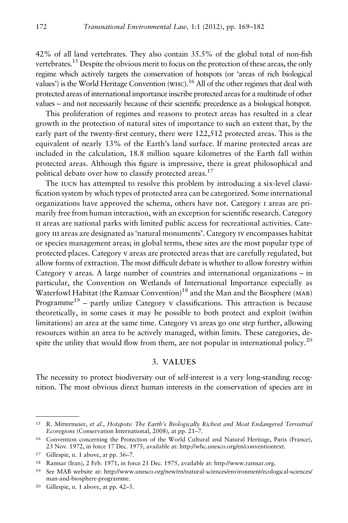42% of all land vertebrates. They also contain 35.5% of the global total of non-fish vertebrates.15 Despite the obvious merit to focus on the protection of these areas, the only regime which actively targets the conservation of hotspots (or 'areas of rich biological values') is the World Heritage Convention (WHC).<sup>16</sup> All of the other regimes that deal with protected areas of international importance inscribe protected areas for a multitude of other values – and not necessarily because of their scientific precedence as a biological hotspot.

This proliferation of regimes and reasons to protect areas has resulted in a clear growth in the protection of natural sites of importance to such an extent that, by the early part of the twenty-first century, there were 122,512 protected areas. This is the equivalent of nearly 13% of the Earth's land surface. If marine protected areas are included in the calculation, 18.8 million square kilometres of the Earth fall within protected areas. Although this figure is impressive, there is great philosophical and political debate over how to classify protected areas.<sup>17</sup>

The IUCN has attempted to resolve this problem by introducing a six-level classification system by which types of protected area can be categorized. Some international organizations have approved the schema, others have not. Category i areas are primarily free from human interaction, with an exception for scientific research. Category II areas are national parks with limited public access for recreational activities. Category iii areas are designated as 'natural monuments'. Category iv encompasses habitat or species management areas; in global terms, these sites are the most popular type of protected places. Category v areas are protected areas that are carefully regulated, but allow forms of extraction. The most difficult debate is whether to allow forestry within Category v areas. A large number of countries and international organizations – in particular, the Convention on Wetlands of International Importance especially as Waterfowl Habitat (the Ramsar Convention)<sup>18</sup> and the Man and the Biosphere ( $\mu$ AB) Programme<sup>19</sup> – partly utilize Category v classifications. This attraction is because theoretically, in some cases it may be possible to both protect and exploit (within limitations) an area at the same time. Category vi areas go one step further, allowing resources within an area to be actively managed, within limits. These categories, despite the utility that would flow from them, are not popular in international policy.<sup>20</sup>

### 3. values

The necessity to protect biodiversity out of self-interest is a very long-standing recognition. The most obvious direct human interests in the conservation of species are in

<sup>15</sup> R. Mittermeier, et al., Hotspots: The Earth's Biologically Richest and Most Endangered Terrestrial Ecoregions (Conservation International, 2008), at pp. 21–7.

<sup>16</sup> Convention concerning the Protection of the World Cultural and Natural Heritage, Paris (France), 23 Nov. 1972, in force 17 Dec. 1975, available at: http://whc.unesco.org/en/conventiontext.

<sup>17</sup> Gillespie, n. 1 above, at pp. 36–7.

<sup>18</sup> Ramsar (Iran), 2 Feb. 1971, in force 21 Dec. 1975, available at: http://www.ramsar.org.

<sup>19</sup> See MAB website at: http://www.unesco.org/new/en/natural-sciences/environment/ecological-sciences/ man-and-biosphere-programme.

<sup>20</sup> Gillespie, n. 1 above, at pp. 42–5.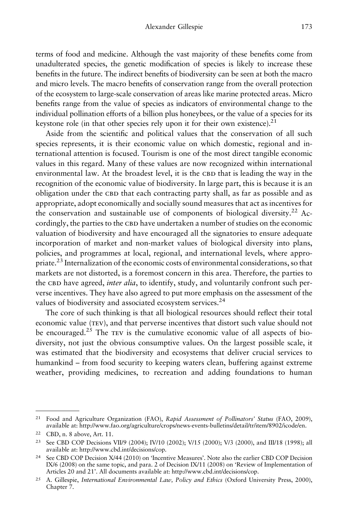terms of food and medicine. Although the vast majority of these benefits come from unadulterated species, the genetic modification of species is likely to increase these benefits in the future. The indirect benefits of biodiversity can be seen at both the macro and micro levels. The macro benefits of conservation range from the overall protection of the ecosystem to large-scale conservation of areas like marine protected areas. Micro benefits range from the value of species as indicators of environmental change to the individual pollination efforts of a billion plus honeybees, or the value of a species for its keystone role (in that other species rely upon it for their own existence).<sup>21</sup>

Aside from the scientific and political values that the conservation of all such species represents, it is their economic value on which domestic, regional and international attention is focused. Tourism is one of the most direct tangible economic values in this regard. Many of these values are now recognized within international environmental law. At the broadest level, it is the CBD that is leading the way in the recognition of the economic value of biodiversity. In large part, this is because it is an obligation under the CBD that each contracting party shall, as far as possible and as appropriate, adopt economically and socially sound measures that act as incentives for the conservation and sustainable use of components of biological diversity.<sup>22</sup> Accordingly, the parties to the CBD have undertaken a number of studies on the economic valuation of biodiversity and have encouraged all the signatories to ensure adequate incorporation of market and non-market values of biological diversity into plans, policies, and programmes at local, regional, and international levels, where appropriate.<sup>23</sup> Internalization of the economic costs of environmental considerations, so that markets are not distorted, is a foremost concern in this area. Therefore, the parties to the CBD have agreed, *inter alia*, to identify, study, and voluntarily confront such perverse incentives. They have also agreed to put more emphasis on the assessment of the values of biodiversity and associated ecosystem services.<sup>24</sup>

The core of such thinking is that all biological resources should reflect their total economic value (tev), and that perverse incentives that distort such value should not be encouraged.<sup>25</sup> The TEV is the cumulative economic value of all aspects of biodiversity, not just the obvious consumptive values. On the largest possible scale, it was estimated that the biodiversity and ecosystems that deliver crucial services to humankind – from food security to keeping waters clean, buffering against extreme weather, providing medicines, to recreation and adding foundations to human

<sup>&</sup>lt;sup>21</sup> Food and Agriculture Organization (FAO), Rapid Assessment of Pollinators' Status (FAO, 2009), available at: http://www.fao.org/agriculture/crops/news-events-bulletins/detail/tr/item/8902/icode/en.

<sup>22</sup> CBD, n. 8 above, Art. 11.

<sup>23</sup> See CBD COP Decisions VII/9 (2004); IV/10 (2002); V/15 (2000); V/3 (2000), and III/18 (1998); all available at: http://www.cbd.int/decisions/cop.

<sup>24</sup> See CBD COP Decision X/44 (2010) on 'Incentive Measures'. Note also the earlier CBD COP Decision IX/6 (2008) on the same topic, and para. 2 of Decision IX/11 (2008) on 'Review of Implementation of Articles 20 and 21'. All documents available at: http://www.cbd.int/decisions/cop.

<sup>25</sup> A. Gillespie, International Environmental Law, Policy and Ethics (Oxford University Press, 2000), Chapter 7.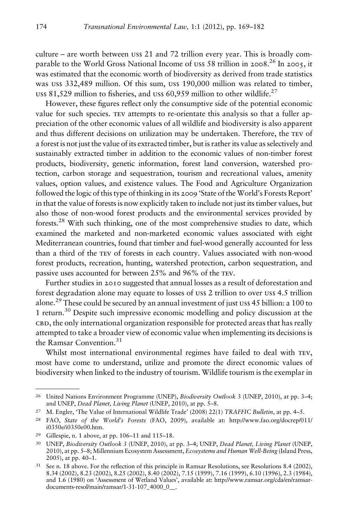culture – are worth between uss 21 and 72 trillion every year. This is broadly comparable to the World Gross National Income of uss 58 trillion in 2008.<sup>26</sup> In 2005, it was estimated that the economic worth of biodiversity as derived from trade statistics was us\$ 332,489 million. Of this sum, us\$ 190,000 million was related to timber, uss 81,529 million to fisheries, and uss 60,959 million to other wildlife.<sup>27</sup>

However, these figures reflect only the consumptive side of the potential economic value for such species. tev attempts to re-orientate this analysis so that a fuller appreciation of the other economic values of all wildlife and biodiversity is also apparent and thus different decisions on utilization may be undertaken. Therefore, the tev of a forest is not just the value of its extracted timber, but is rather its value as selectively and sustainably extracted timber in addition to the economic values of non-timber forest products, biodiversity, genetic information, forest land conversion, watershed protection, carbon storage and sequestration, tourism and recreational values, amenity values, option values, and existence values. The Food and Agriculture Organization followed the logic of this type of thinking in its 2009 'State of the World's Forests Report' in that the value of forests is now explicitly taken to include not just its timber values, but also those of non-wood forest products and the environmental services provided by forests.28 With such thinking, one of the most comprehensive studies to date, which examined the marketed and non-marketed economic values associated with eight Mediterranean countries, found that timber and fuel-wood generally accounted for less than a third of the tev of forests in each country. Values associated with non-wood forest products, recreation, hunting, watershed protection, carbon sequestration, and passive uses accounted for between 25% and 96% of the tev.

Further studies in 2010 suggested that annual losses as a result of deforestation and forest degradation alone may equate to losses of us\$ 2 trillion to over us\$ 4.5 trillion alone.<sup>29</sup> These could be secured by an annual investment of just us\$ 45 billion: a 100 to 1 return.<sup>30</sup> Despite such impressive economic modelling and policy discussion at the cbd, the only international organization responsible for protected areas that has really attempted to take a broader view of economic value when implementing its decisions is the Ramsar Convention.<sup>31</sup>

Whilst most international environmental regimes have failed to deal with TEV, most have come to understand, utilize and promote the direct economic values of biodiversity when linked to the industry of tourism. Wildlife tourism is the exemplar in

<sup>&</sup>lt;sup>26</sup> United Nations Environment Programme (UNEP), Biodiversity Outlook 3 (UNEP, 2010), at pp. 3-4; and UNEP, Dead Planet, Living Planet (UNEP, 2010), at pp. 5–8.

<sup>&</sup>lt;sup>27</sup> M. Engler, 'The Value of International Wildlife Trade' (2008) 22(1) TRAFFIC Bulletin, at pp. 4–5.

<sup>28</sup> FAO, State of the World's Forests (FAO, 2009), available at: http://www.fao.org/docrep/011/ i0350e/i0350e00.htm.

<sup>29</sup> Gillespie, n. 1 above, at pp. 106–11 and 115–18.

<sup>30</sup> UNEP, Biodiversity Outlook 3 (UNEP, 2010), at pp. 3–4; UNEP, Dead Planet, Living Planet (UNEP, 2010), at pp. 5-8; Millennium Ecosystem Assessment, Ecosystems and Human Well-Being (Island Press, 2005), at pp. 40–1.

<sup>31</sup> See n. 18 above. For the reflection of this principle in Ramsar Resolutions, see Resolutions 8.4 (2002), 8.34 (2002), 8.23 (2002), 8.25 (2002), 8.40 (2002), 7.15 (1999), 7.16 (1999), 6.10 (1996), 2.3 (1984), and 1.6 (1980) on 'Assessment of Wetland Values', available at: http://www.ramsar.org/cda/en/ramsardocuments-resol/main/ramsar/1-31-107\_4000\_0\_\_.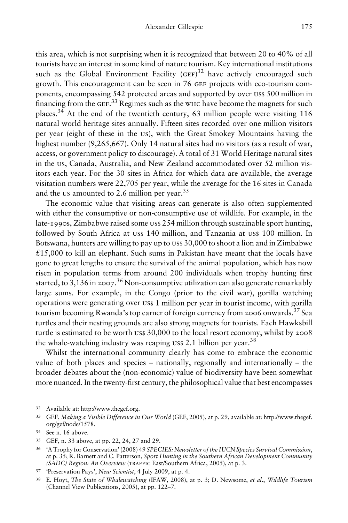this area, which is not surprising when it is recognized that between 20 to 40% of all tourists have an interest in some kind of nature tourism. Key international institutions such as the Global Environment Facility (GEF) $^{32}$  have actively encouraged such growth. This encouragement can be seen in 76 GEF projects with eco-tourism components, encompassing 542 protected areas and supported by over uss 500 million in financing from the GEF.<sup>33</sup> Regimes such as the WHC have become the magnets for such places.<sup>34</sup> At the end of the twentieth century, 63 million people were visiting 116 natural world heritage sites annually. Fifteen sites recorded over one million visitors per year (eight of these in the us), with the Great Smokey Mountains having the highest number (9,265,667). Only 14 natural sites had no visitors (as a result of war, access, or government policy to discourage). A total of 31 World Heritage natural sites in the us, Canada, Australia, and New Zealand accommodated over 52 million visitors each year. For the 30 sites in Africa for which data are available, the average visitation numbers were 22,705 per year, while the average for the 16 sites in Canada and the us amounted to 2.6 million per year.<sup>35</sup>

The economic value that visiting areas can generate is also often supplemented with either the consumptive or non-consumptive use of wildlife. For example, in the late-1990s, Zimbabwe raised some us\$ 254 million through sustainable sport hunting, followed by South Africa at uss 140 million, and Tanzania at uss 100 million. In Botswana, hunters are willing to pay up to us\$ 30,000 to shoot a lion and in Zimbabwe  $£15,000$  to kill an elephant. Such sums in Pakistan have meant that the locals have gone to great lengths to ensure the survival of the animal population, which has now risen in population terms from around 200 individuals when trophy hunting first started, to 3,136 in 2007.<sup>36</sup> Non-consumptive utilization can also generate remarkably large sums. For example, in the Congo (prior to the civil war), gorilla watching operations were generating over us\$ 1 million per year in tourist income, with gorilla tourism becoming Rwanda's top earner of foreign currency from 2006 onwards.<sup>37</sup> Sea turtles and their nesting grounds are also strong magnets for tourists. Each Hawksbill turtle is estimated to be worth us\$ 30,000 to the local resort economy, whilst by 2008 the whale-watching industry was reaping uss 2.1 billion per year.<sup>38</sup>

Whilst the international community clearly has come to embrace the economic value of both places and species – nationally, regionally and internationally – the broader debates about the (non-economic) value of biodiversity have been somewhat more nuanced. In the twenty-first century, the philosophical value that best encompasses

<sup>32</sup> Available at: http://www.thegef.org.

<sup>33</sup> GEF, Making a Visible Difference in Our World (GEF, 2005), at p. 29, available at: http://www.thegef. org/gef/node/1578.

<sup>34</sup> See n. 16 above.

<sup>35</sup> GEF, n. 33 above, at pp. 22, 24, 27 and 29.

<sup>36</sup> 'A Trophy for Conservation' (2008) 49 SPECIES: Newsletter of the IUCN Species Survival Commission, at p. 35; R. Barnett and C. Patterson, Sport Hunting in the Southern African Development Community (SADC) Region: An Overview (TRAFFIC East/Southern Africa, 2005), at p. 3.

<sup>37</sup> 'Preservation Pays', New Scientist, 4 July 2009, at p. 4.

<sup>&</sup>lt;sup>38</sup> E. Hoyt, The State of Whalewatching (IFAW, 2008), at p. 3; D. Newsome, et al., Wildlife Tourism (Channel View Publications, 2005), at pp. 122–7.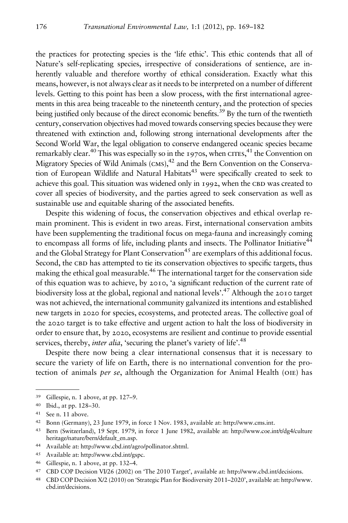the practices for protecting species is the 'life ethic'. This ethic contends that all of Nature's self-replicating species, irrespective of considerations of sentience, are inherently valuable and therefore worthy of ethical consideration. Exactly what this means, however, is not always clear as it needs to be interpreted on a number of different levels. Getting to this point has been a slow process, with the first international agreements in this area being traceable to the nineteenth century, and the protection of species being justified only because of the direct economic benefits.<sup>39</sup> By the turn of the twentieth century, conservation objectives had moved towards conserving species because they were threatened with extinction and, following strong international developments after the Second World War, the legal obligation to conserve endangered oceanic species became remarkably clear.<sup>40</sup> This was especially so in the 1970s, when  $\mathrm{c}$ rres, $^{41}$  the Convention on Migratory Species of Wild Animals  $\cos$ ,  $42$  and the Bern Convention on the Conservation of European Wildlife and Natural Habitats<sup>43</sup> were specifically created to seek to achieve this goal. This situation was widened only in 1992, when the CBD was created to cover all species of biodiversity, and the parties agreed to seek conservation as well as sustainable use and equitable sharing of the associated benefits.

Despite this widening of focus, the conservation objectives and ethical overlap remain prominent. This is evident in two areas. First, international conservation ambits have been supplementing the traditional focus on mega-fauna and increasingly coming to encompass all forms of life, including plants and insects. The Pollinator Initiative<sup> $44$ </sup> and the Global Strategy for Plant Conservation<sup>45</sup> are exemplars of this additional focus. Second, the CBD has attempted to tie its conservation objectives to specific targets, thus making the ethical goal measurable.<sup>46</sup> The international target for the conservation side of this equation was to achieve, by 2010, 'a significant reduction of the current rate of biodiversity loss at the global, regional and national levels'. <sup>47</sup> Although the 2010 target was not achieved, the international community galvanized its intentions and established new targets in 2020 for species, ecosystems, and protected areas. The collective goal of the 2020 target is to take effective and urgent action to halt the loss of biodiversity in order to ensure that, by 2020, ecosystems are resilient and continue to provide essential services, thereby, *inter alia*, 'securing the planet's variety of life'.<sup>48</sup>

Despite there now being a clear international consensus that it is necessary to secure the variety of life on Earth, there is no international convention for the protection of animals per se, although the Organization for Animal Health (OIE) has

<sup>39</sup> Gillespie, n. 1 above, at pp. 127–9.

<sup>40</sup> Ibid., at pp. 128–30.

<sup>41</sup> See n. 11 above.

<sup>42</sup> Bonn (Germany), 23 June 1979, in force 1 Nov. 1983, available at: http://www.cms.int.

<sup>43</sup> Bern (Switzerland), 19 Sept. 1979, in force 1 June 1982, available at: http://www.coe.int/t/dg4/culture heritage/nature/bern/default\_en.asp.

<sup>44</sup> Available at: http://www.cbd.int/agro/pollinator.shtml.

<sup>45</sup> Available at: http://www.cbd.int/gspc.

<sup>46</sup> Gillespie, n. 1 above, at pp. 132–4.

<sup>47</sup> CBD COP Decision VI/26 (2002) on 'The 2010 Target', available at: http://www.cbd.int/decisions.

<sup>48</sup> CBD COP Decision X/2 (2010) on 'Strategic Plan for Biodiversity 2011–2020', available at: http://www. cbd.int/decisions.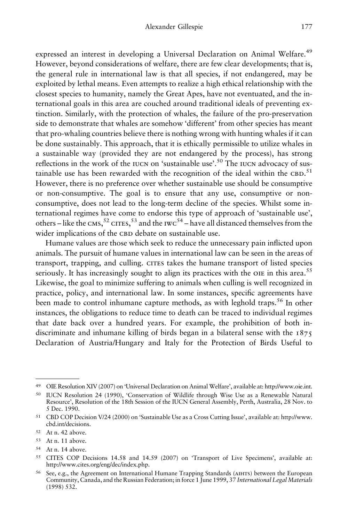expressed an interest in developing a Universal Declaration on Animal Welfare.<sup>49</sup> However, beyond considerations of welfare, there are few clear developments; that is, the general rule in international law is that all species, if not endangered, may be exploited by lethal means. Even attempts to realize a high ethical relationship with the closest species to humanity, namely the Great Apes, have not eventuated, and the international goals in this area are couched around traditional ideals of preventing extinction. Similarly, with the protection of whales, the failure of the pro-preservation side to demonstrate that whales are somehow 'different' from other species has meant that pro-whaling countries believe there is nothing wrong with hunting whales if it can be done sustainably. This approach, that it is ethically permissible to utilize whales in a sustainable way (provided they are not endangered by the process), has strong reflections in the work of the IUCN on 'sustainable use'.<sup>50</sup> The IUCN advocacy of sustainable use has been rewarded with the recognition of the ideal within the CBD.<sup>51</sup> However, there is no preference over whether sustainable use should be consumptive or non-consumptive. The goal is to ensure that any use, consumptive or nonconsumptive, does not lead to the long-term decline of the species. Whilst some international regimes have come to endorse this type of approach of 'sustainable use', others – like the  $\text{CMS},^{52}$  CITES,  $^{53}$  and the IWC<sup>54</sup> – have all distanced themselves from the wider implications of the CBD debate on sustainable use.

Humane values are those which seek to reduce the unnecessary pain inflicted upon animals. The pursuit of humane values in international law can be seen in the areas of transport, trapping, and culling. CITES takes the humane transport of listed species seriously. It has increasingly sought to align its practices with the OIE in this area.<sup>55</sup> Likewise, the goal to minimize suffering to animals when culling is well recognized in practice, policy, and international law. In some instances, specific agreements have been made to control inhumane capture methods, as with leghold traps.<sup>56</sup> In other instances, the obligations to reduce time to death can be traced to individual regimes that date back over a hundred years. For example, the prohibition of both indiscriminate and inhumane killing of birds began in a bilateral sense with the 1875 Declaration of Austria/Hungary and Italy for the Protection of Birds Useful to

<sup>49</sup> OIE Resolution XIV (2007) on 'Universal Declaration on Animal Welfare', available at: http://www.oie.int.

<sup>50</sup> IUCN Resolution 24 (1990), 'Conservation of Wildlife through Wise Use as a Renewable Natural Resource', Resolution of the 18th Session of the IUCN General Assembly, Perth, Australia, 28 Nov. to 5 Dec. 1990.

<sup>51</sup> CBD COP Decision V/24 (2000) on 'Sustainable Use as a Cross Cutting Issue', available at: http://www. cbd.int/decisions.

<sup>52</sup> At n. 42 above.

<sup>53</sup> At n. 11 above.

<sup>54</sup> At n. 14 above.

<sup>55</sup> CITES COP Decisions 14.58 and 14.59 (2007) on 'Transport of Live Specimens', available at: http://www.cites.org/eng/dec/index.php.

<sup>56</sup> See, e.g., the Agreement on International Humane Trapping Standards (aihts) between the European Community, Canada, and the Russian Federation; in force 1 June 1999, 37 International Legal Materials (1998) 532.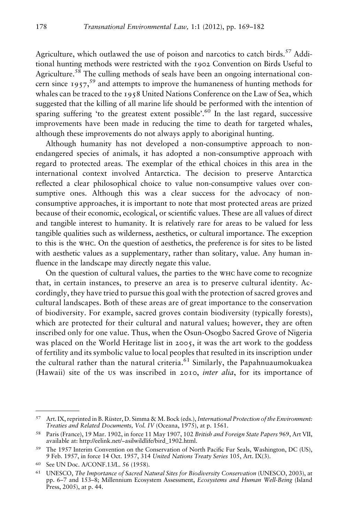Agriculture, which outlawed the use of poison and narcotics to catch birds.<sup>57</sup> Additional hunting methods were restricted with the 1902 Convention on Birds Useful to Agriculture.<sup>58</sup> The culling methods of seals have been an ongoing international concern since 1957,<sup>59</sup> and attempts to improve the humaneness of hunting methods for whales can be traced to the 1958 United Nations Conference on the Law of Sea, which suggested that the killing of all marine life should be performed with the intention of sparing suffering 'to the greatest extent possible'.<sup>60</sup> In the last regard, successive improvements have been made in reducing the time to death for targeted whales, although these improvements do not always apply to aboriginal hunting.

Although humanity has not developed a non-consumptive approach to nonendangered species of animals, it has adopted a non-consumptive approach with regard to protected areas. The exemplar of the ethical choices in this area in the international context involved Antarctica. The decision to preserve Antarctica reflected a clear philosophical choice to value non-consumptive values over consumptive ones. Although this was a clear success for the advocacy of nonconsumptive approaches, it is important to note that most protected areas are prized because of their economic, ecological, or scientific values. These are all values of direct and tangible interest to humanity. It is relatively rare for areas to be valued for less tangible qualities such as wilderness, aesthetics, or cultural importance. The exception to this is the whc. On the question of aesthetics, the preference is for sites to be listed with aesthetic values as a supplementary, rather than solitary, value. Any human influence in the landscape may directly negate this value.

On the question of cultural values, the parties to the whc have come to recognize that, in certain instances, to preserve an area is to preserve cultural identity. Accordingly, they have tried to pursue this goal with the protection of sacred groves and cultural landscapes. Both of these areas are of great importance to the conservation of biodiversity. For example, sacred groves contain biodiversity (typically forests), which are protected for their cultural and natural values; however, they are often inscribed only for one value. Thus, when the Osun-Osogbo Sacred Grove of Nigeria was placed on the World Heritage list in 2005, it was the art work to the goddess of fertility and its symbolic value to local peoples that resulted in its inscription under the cultural rather than the natural criteria.<sup>61</sup> Similarly, the Papahnuaumokuakea (Hawaii) site of the us was inscribed in 2010, inter alia, for its importance of

<sup>57</sup> Art. IX, reprinted in B. Rüster, D. Simma & M. Bock (eds.), International Protection of the Environment: Treaties and Related Documents, Vol. IV (Oceana, 1975), at p. 1561.

<sup>58</sup> Paris (France), 19 Mar. 1902, in force 11 May 1907, 102 British and Foreign State Papers 969, Art VII, available at: http://eelink.net/~asilwildlife/bird\_1902.html.

<sup>59</sup> The 1957 Interim Convention on the Conservation of North Pacific Fur Seals, Washington, DC (US), 9 Feb. 1957, in force 14 Oct. 1957, 314 United Nations Treaty Series 105, Art. IX(3).

<sup>60</sup> See UN Doc. A/CONF.13/L. 56 (1958).

<sup>61</sup> UNESCO, The Importance of Sacred Natural Sites for Biodiversity Conservation (UNESCO, 2003), at pp. 6–7 and 153–8; Millennium Ecosystem Assessment, Ecosystems and Human Well-Being (Island Press, 2005), at p. 44.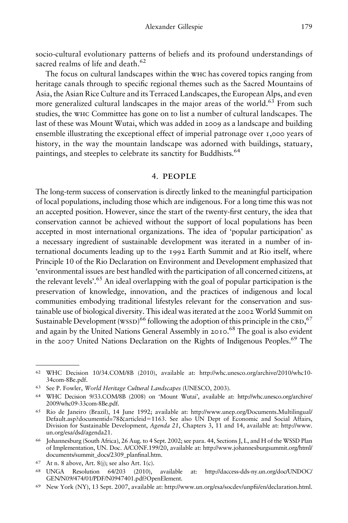socio-cultural evolutionary patterns of beliefs and its profound understandings of sacred realms of life and death.<sup>62</sup>

The focus on cultural landscapes within the whc has covered topics ranging from heritage canals through to specific regional themes such as the Sacred Mountains of Asia, the Asian Rice Culture and its Terraced Landscapes, the European Alps, and even more generalized cultural landscapes in the major areas of the world.<sup>63</sup> From such studies, the whc Committee has gone on to list a number of cultural landscapes. The last of these was Mount Wutai, which was added in 2009 as a landscape and building ensemble illustrating the exceptional effect of imperial patronage over 1,000 years of history, in the way the mountain landscape was adorned with buildings, statuary, paintings, and steeples to celebrate its sanctity for Buddhists.<sup>64</sup>

#### 4. people

The long-term success of conservation is directly linked to the meaningful participation of local populations, including those which are indigenous. For a long time this was not an accepted position. However, since the start of the twenty-first century, the idea that conservation cannot be achieved without the support of local populations has been accepted in most international organizations. The idea of 'popular participation' as a necessary ingredient of sustainable development was iterated in a number of international documents leading up to the 1992 Earth Summit and at Rio itself, where Principle 10 of the Rio Declaration on Environment and Development emphasized that 'environmental issues are best handled with the participation of all concerned citizens, at the relevant levels'.<sup>65</sup> An ideal overlapping with the goal of popular participation is the preservation of knowledge, innovation, and the practices of indigenous and local communities embodying traditional lifestyles relevant for the conservation and sustainable use of biological diversity. This ideal was iterated at the 2002 World Summit on Sustainable Development (wssp)<sup>66</sup> following the adoption of this principle in the  $\texttt{CBD}$ ,<sup>67</sup> and again by the United Nations General Assembly in 2010.<sup>68</sup> The goal is also evident in the 2007 United Nations Declaration on the Rights of Indigenous Peoples.<sup>69</sup> The

<sup>62</sup> WHC Decision 10/34.COM/8B (2010), available at: http://whc.unesco.org/archive/2010/whc10- 34com-8Be.pdf.

<sup>63</sup> See P. Fowler, World Heritage Cultural Landscapes (UNESCO, 2003).

<sup>64</sup> WHC Decision 9/33.COM/8B (2008) on 'Mount Wutai', available at: http://whc.unesco.org/archive/ 2009/whc09-33com-8Be.pdf.

<sup>65</sup> Rio de Janeiro (Brazil), 14 June 1992; available at: http://www.unep.org/Documents.Multilingual/ Default.asp?documentid=78&articleid=1163. See also UN Dept of Economic and Social Affairs, Division for Sustainable Development, Agenda 21, Chapters 3, 11 and 14, available at: http://www. un.org/esa/dsd/agenda21.

<sup>66</sup> Johannesburg (South Africa), 26 Aug. to 4 Sept. 2002; see para. 44, Sections J, L, and H of the WSSD Plan of Implementation, UN. Doc. A/CONF.199/20, available at: http://www.johannesburgsummit.org/html/ documents/summit\_docs/2309\_planfinal.htm.

 $67$  At n. 8 above, Art.  $8(j)$ ; see also Art.  $1(c)$ .

<sup>68</sup> UNGA Resolution 64/203 (2010), available at: http://daccess-dds-ny.un.org/doc/UNDOC/ GEN/N09/474/01/PDF/N0947401.pdf?OpenElement.

<sup>69</sup> New York (NY), 13 Sept. 2007, available at: http://www.un.org/esa/socdev/unpfii/en/declaration.html.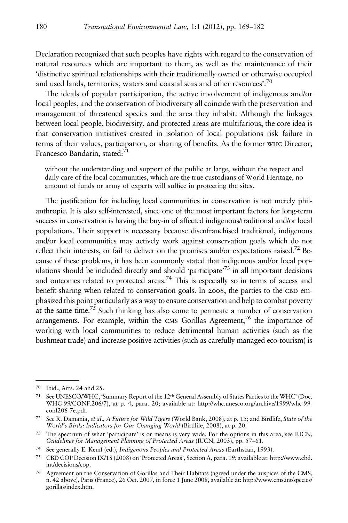Declaration recognized that such peoples have rights with regard to the conservation of natural resources which are important to them, as well as the maintenance of their 'distinctive spiritual relationships with their traditionally owned or otherwise occupied and used lands, territories, waters and coastal seas and other resources'.<sup>70</sup>

The ideals of popular participation, the active involvement of indigenous and/or local peoples, and the conservation of biodiversity all coincide with the preservation and management of threatened species and the area they inhabit. Although the linkages between local people, biodiversity, and protected areas are multifarious, the core idea is that conservation initiatives created in isolation of local populations risk failure in terms of their values, participation, or sharing of benefits. As the former whc Director, Francesco Bandarin, stated:<sup>71</sup>

without the understanding and support of the public at large, without the respect and daily care of the local communities, which are the true custodians of World Heritage, no amount of funds or army of experts will suffice in protecting the sites.

The justification for including local communities in conservation is not merely philanthropic. It is also self-interested, since one of the most important factors for long-term success in conservation is having the buy-in of affected indigenous/traditional and/or local populations. Their support is necessary because disenfranchised traditional, indigenous and/or local communities may actively work against conservation goals which do not reflect their interests, or fail to deliver on the promises and/or expectations raised.<sup>72</sup> Because of these problems, it has been commonly stated that indigenous and/or local populations should be included directly and should 'participate'<sup>73</sup> in all important decisions and outcomes related to protected areas.<sup>74</sup> This is especially so in terms of access and benefit-sharing when related to conservation goals. In 2008, the parties to the CBD emphasized this point particularly as a way to ensure conservation and help to combat poverty at the same time.75 Such thinking has also come to permeate a number of conservation arrangements. For example, within the  $\cos$  Gorillas Agreement,<sup>76</sup> the importance of working with local communities to reduce detrimental human activities (such as the bushmeat trade) and increase positive activities (such as carefully managed eco-tourism) is

<sup>70</sup> Ibid., Arts. 24 and 25.

<sup>71</sup> See UNESCO/WHC, 'Summary Report of the 12th General Assembly of States Parties to the WHC' (Doc. WHC-99/CONF.206/7), at p. 4, para. 20; available at: http://whc.unesco.org/archive/1999/whc-99 conf206-7e.pdf.

<sup>72</sup> See R. Damania, et al., A Future for Wild Tigers (World Bank, 2008), at p. 15; and Birdlife, State of the World's Birds: Indicators for Our Changing World (Birdlife, 2008), at p. 20.

<sup>73</sup> The spectrum of what 'participate' is or means is very wide. For the options in this area, see IUCN, Guidelines for Management Planning of Protected Areas (IUCN, 2003), pp. 57–61.

<sup>74</sup> See generally E. Kemf (ed.), Indigenous Peoples and Protected Areas (Earthscan, 1993).

<sup>75</sup> CBD COP Decision IX/18 (2008) on 'Protected Areas', Section A, para. 19; available at: http://www.cbd. int/decisions/cop.

<sup>76</sup> Agreement on the Conservation of Gorillas and Their Habitats (agreed under the auspices of the CMS, n. 42 above), Paris (France), 26 Oct. 2007, in force 1 June 2008, available at: http://www.cms.int/species/ gorillas/index.htm.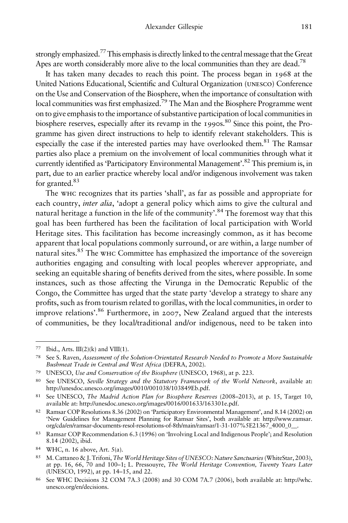strongly emphasized.<sup>77</sup> This emphasis is directly linked to the central message that the Great Apes are worth considerably more alive to the local communities than they are dead.<sup>78</sup>

It has taken many decades to reach this point. The process began in 1968 at the United Nations Educational, Scientific and Cultural Organization (unesco) Conference on the Use and Conservation of the Biosphere, when the importance of consultation with local communities was first emphasized.<sup>79</sup> The Man and the Biosphere Programme went on to give emphasis to the importance of substantive participation of local communities in biosphere reserves, especially after its revamp in the  $1990s$ .<sup>80</sup> Since this point, the Programme has given direct instructions to help to identify relevant stakeholders. This is especially the case if the interested parties may have overlooked them.<sup>81</sup> The Ramsar parties also place a premium on the involvement of local communities through what it currently identified as 'Participatory Environmental Management'.<sup>82</sup> This premium is, in part, due to an earlier practice whereby local and/or indigenous involvement was taken for granted.<sup>83</sup>

The whc recognizes that its parties 'shall', as far as possible and appropriate for each country, *inter alia*, 'adopt a general policy which aims to give the cultural and natural heritage a function in the life of the community'.<sup>84</sup> The foremost way that this goal has been furthered has been the facilitation of local participation with World Heritage sites. This facilitation has become increasingly common, as it has become apparent that local populations commonly surround, or are within, a large number of natural sites.<sup>85</sup> The WHC Committee has emphasized the importance of the sovereign authorities engaging and consulting with local peoples wherever appropriate, and seeking an equitable sharing of benefits derived from the sites, where possible. In some instances, such as those affecting the Virunga in the Democratic Republic of the Congo, the Committee has urged that the state party 'develop a strategy to share any profits, such as from tourism related to gorillas, with the local communities, in order to improve relations'.<sup>86</sup> Furthermore, in 2007, New Zealand argued that the interests of communities, be they local/traditional and/or indigenous, need to be taken into

<sup>77</sup> Ibid., Arts.  $III(2)(k)$  and  $VIII(1)$ .

<sup>78</sup> See S. Raven, Assessment of the Solution-Orientated Research Needed to Promote a More Sustainable Bushmeat Trade in Central and West Africa (DEFRA, 2002).

<sup>79</sup> UNESCO, Use and Conservation of the Biosphere (UNESCO, 1968), at p. 223.

<sup>80</sup> See UNESCO, Seville Strategy and the Statutory Framework of the World Network, available at: http://unesdoc.unesco.org/images/0010/001038/103849Eb.pdf.

<sup>81</sup> See UNESCO, The Madrid Action Plan for Biosphere Reserves (2008–2013), at p. 15, Target 10, available at: http://unesdoc.unesco.org/images/0016/001633/163301e.pdf.

<sup>82</sup> Ramsar COP Resolutions 8.36 (2002) on 'Participatory Environmental Management', and 8.14 (2002) on 'New Guidelines for Management Planning for Ramsar Sites', both available at: http://www.ramsar. org/cda/en/ramsar-documents-resol-resolutions-of-8th/main/ramsar/1-31-107%5E21367\_4000\_0\_\_.

<sup>83</sup> Ramsar COP Recommendation 6.3 (1996) on 'Involving Local and Indigenous People'; and Resolution 8.14 (2002), ibid.

<sup>84</sup> WHC, n. 16 above, Art. 5(a).

<sup>85</sup> M. Cattaneo & J. Trifoni, The World Heritage Sites of UNESCO: Nature Sanctuaries (WhiteStar, 2003), at pp. 16, 66, 70 and 100-1; L. Pressouyre, The World Heritage Convention, Twenty Years Later (UNESCO, 1992), at pp. 14–15, and 22.

<sup>86</sup> See WHC Decisions 32 COM 7A.3 (2008) and 30 COM 7A.7 (2006), both available at: http://whc. unesco.org/en/decisions.